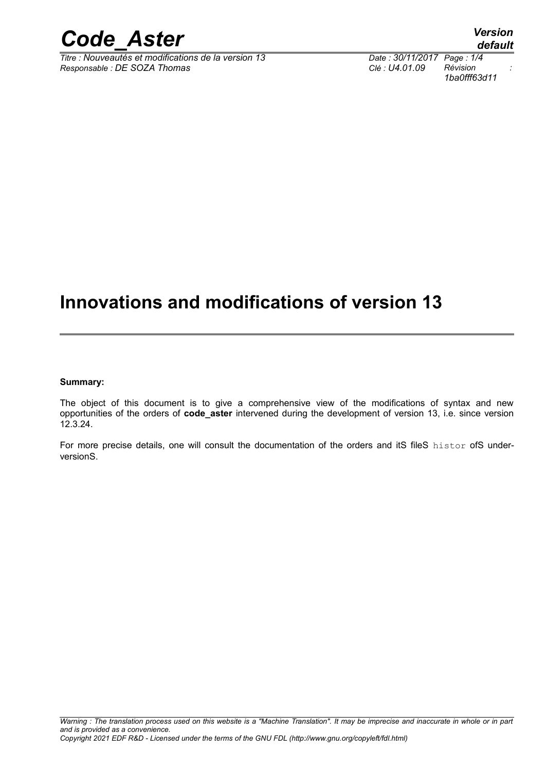

*Titre : Nouveautés et modifications de la version 13 Date : 30/11/2017 Page : 1/4*  $Responsible : DE SOZA$  *Thomas* 

*1ba0fff63d11*

## **Innovations and modifications of version 13**

#### **Summary:**

The object of this document is to give a comprehensive view of the modifications of syntax and new opportunities of the orders of **code\_aster** intervened during the development of version 13, i.e. since version 12.3.24.

For more precise details, one will consult the documentation of the orders and itS fileS histor ofS underversionS.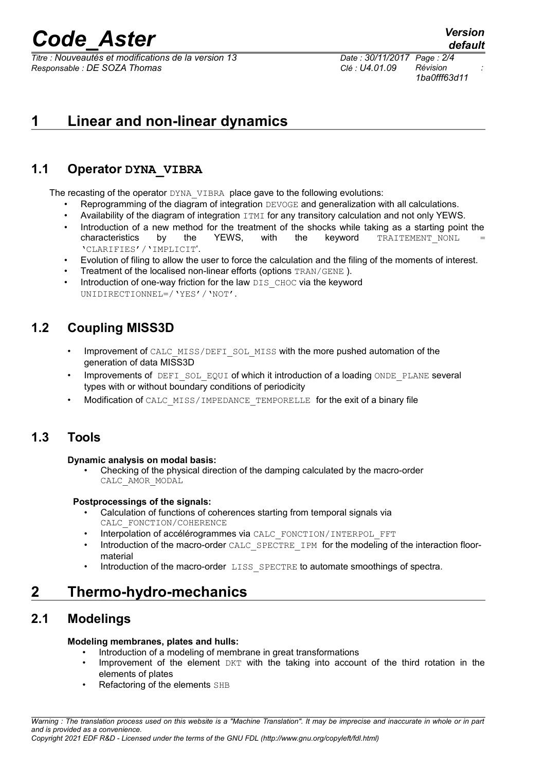# *Code\_Aster Version*

*Titre : Nouveautés et modifications de la version 13 Date : 30/11/2017 Page : 2/4 Responsable : DE SOZA Thomas Clé : U4.01.09 Révision :*

*1ba0fff63d11*

## **1 Linear and non-linear dynamics**

### **1.1 Operator DYNA\_VIBRA**

The recasting of the operator DYNA\_VIBRA place gave to the following evolutions:

- Reprogramming of the diagram of integration DEVOGE and generalization with all calculations.
- Availability of the diagram of integration ITMI for any transitory calculation and not only YEWS.
- Introduction of a new method for the treatment of the shocks while taking as a starting point the characteristics by the YEWS, with the keyword TRAITEMENT\_NONL 'CLARIFIES'/'IMPLICIT'.
- Evolution of filing to allow the user to force the calculation and the filing of the moments of interest.
- Treatment of the localised non-linear efforts (options TRAN/GENE ).
- Introduction of one-way friction for the law DIS CHOC via the keyword UNIDIRECTIONNEL=/'YES'/'NOT'.

### **1.2 Coupling MISS3D**

- Improvement of CALC\_MISS/DEFI\_SOL\_MISS with the more pushed automation of the generation of data MISS3D
- Improvements of DEFI\_SOL\_EQUI of which it introduction of a loading ONDE\_PLANE several types with or without boundary conditions of periodicity
- Modification of CALC\_MISS/IMPEDANCE\_TEMPORELLE for the exit of a binary file

### **1.3 Tools**

#### **Dynamic analysis on modal basis:**

• Checking of the physical direction of the damping calculated by the macro-order CALC\_AMOR\_MODAL

#### **Postprocessings of the signals:**

- Calculation of functions of coherences starting from temporal signals via CALC\_FONCTION/COHERENCE
- Interpolation of accélérogrammes via CALC\_FONCTION/INTERPOL\_FFT
- Introduction of the macro-order CALC\_SPECTRE\_IPM for the modeling of the interaction floormaterial
- Introduction of the macro-order LISS SPECTRE to automate smoothings of spectra.

### **2 Thermo-hydro-mechanics**

### **2.1 Modelings**

#### **Modeling membranes, plates and hulls:**

- Introduction of a modeling of membrane in great transformations
- Improvement of the element DKT with the taking into account of the third rotation in the elements of plates
- Refactoring of the elements SHB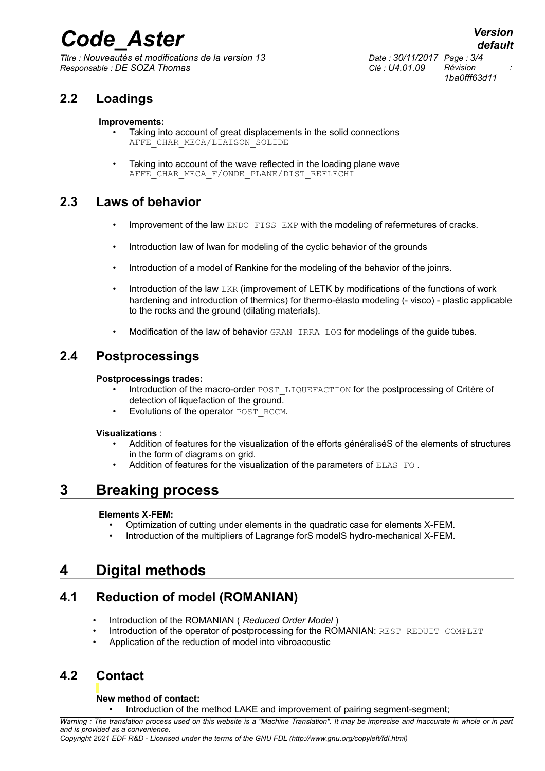# *Code\_Aster Version*

*Titre : Nouveautés et modifications de la version 13 Date : 30/11/2017 Page : 3/4 Responsable : DE SOZA Thomas Clé : U4.01.09 Révision :*

*1ba0fff63d11*

### **2.2 Loadings**

#### **Improvements:**

- Taking into account of great displacements in the solid connections AFFE CHAR MECA/LIAISON SOLIDE
- Taking into account of the wave reflected in the loading plane wave AFFE\_CHAR\_MECA\_F/ONDE\_PLANE/DIST\_REFLECHI

### **2.3 Laws of behavior**

- Improvement of the law ENDO FISS EXP with the modeling of refermetures of cracks.
- Introduction law of Iwan for modeling of the cyclic behavior of the grounds
- Introduction of a model of Rankine for the modeling of the behavior of the joinrs.
- Introduction of the law LKR (improvement of LETK by modifications of the functions of work hardening and introduction of thermics) for thermo-élasto modeling (- visco) - plastic applicable to the rocks and the ground (dilating materials).
- Modification of the law of behavior GRAN IRRA LOG for modelings of the guide tubes.

### **2.4 Postprocessings**

#### **Postprocessings trades:**

- Introduction of the macro-order POST\_LIQUEFACTION for the postprocessing of Critère of detection of liquefaction of the ground.
- Evolutions of the operator POST\_RCCM.

#### **Visualizations** :

- Addition of features for the visualization of the efforts généraliséS of the elements of structures in the form of diagrams on grid.
- Addition of features for the visualization of the parameters of ELAS FO.

### **3 Breaking process**

#### **Elements X-FEM:**

- Optimization of cutting under elements in the quadratic case for elements X-FEM.
- Introduction of the multipliers of Lagrange forS modelS hydro-mechanical X-FEM.

### **4 Digital methods**

### **4.1 Reduction of model (ROMANIAN)**

- Introduction of the ROMANIAN ( *Reduced Order Model* )
- Introduction of the operator of postprocessing for the ROMANIAN: REST\_REDUIT\_COMPLET
- Application of the reduction of model into vibroacoustic

### **4.2 Contact**

#### **New method of contact:**

• Introduction of the method LAKE and improvement of pairing segment-segment;

*Warning : The translation process used on this website is a "Machine Translation". It may be imprecise and inaccurate in whole or in part and is provided as a convenience.*

*Copyright 2021 EDF R&D - Licensed under the terms of the GNU FDL (http://www.gnu.org/copyleft/fdl.html)*